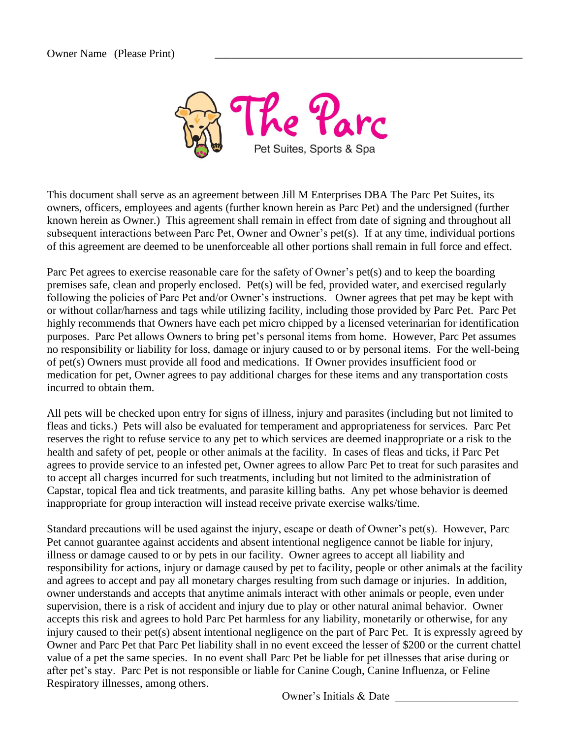

This document shall serve as an agreement between Jill M Enterprises DBA The Parc Pet Suites, its owners, officers, employees and agents (further known herein as Parc Pet) and the undersigned (further known herein as Owner.) This agreement shall remain in effect from date of signing and throughout all subsequent interactions between Parc Pet, Owner and Owner's pet(s). If at any time, individual portions of this agreement are deemed to be unenforceable all other portions shall remain in full force and effect.

Parc Pet agrees to exercise reasonable care for the safety of Owner's pet(s) and to keep the boarding premises safe, clean and properly enclosed. Pet(s) will be fed, provided water, and exercised regularly following the policies of Parc Pet and/or Owner's instructions. Owner agrees that pet may be kept with or without collar/harness and tags while utilizing facility, including those provided by Parc Pet. Parc Pet highly recommends that Owners have each pet micro chipped by a licensed veterinarian for identification purposes. Parc Pet allows Owners to bring pet's personal items from home. However, Parc Pet assumes no responsibility or liability for loss, damage or injury caused to or by personal items. For the well-being of pet(s) Owners must provide all food and medications. If Owner provides insufficient food or medication for pet, Owner agrees to pay additional charges for these items and any transportation costs incurred to obtain them.

All pets will be checked upon entry for signs of illness, injury and parasites (including but not limited to fleas and ticks.) Pets will also be evaluated for temperament and appropriateness for services. Parc Pet reserves the right to refuse service to any pet to which services are deemed inappropriate or a risk to the health and safety of pet, people or other animals at the facility. In cases of fleas and ticks, if Parc Pet agrees to provide service to an infested pet, Owner agrees to allow Parc Pet to treat for such parasites and to accept all charges incurred for such treatments, including but not limited to the administration of Capstar, topical flea and tick treatments, and parasite killing baths. Any pet whose behavior is deemed inappropriate for group interaction will instead receive private exercise walks/time.

Standard precautions will be used against the injury, escape or death of Owner's pet(s). However, Parc Pet cannot guarantee against accidents and absent intentional negligence cannot be liable for injury, illness or damage caused to or by pets in our facility. Owner agrees to accept all liability and responsibility for actions, injury or damage caused by pet to facility, people or other animals at the facility and agrees to accept and pay all monetary charges resulting from such damage or injuries. In addition, owner understands and accepts that anytime animals interact with other animals or people, even under supervision, there is a risk of accident and injury due to play or other natural animal behavior. Owner accepts this risk and agrees to hold Parc Pet harmless for any liability, monetarily or otherwise, for any injury caused to their pet(s) absent intentional negligence on the part of Parc Pet. It is expressly agreed by Owner and Parc Pet that Parc Pet liability shall in no event exceed the lesser of \$200 or the current chattel value of a pet the same species. In no event shall Parc Pet be liable for pet illnesses that arise during or after pet's stay. Parc Pet is not responsible or liable for Canine Cough, Canine Influenza, or Feline Respiratory illnesses, among others.

Owner's Initials & Date